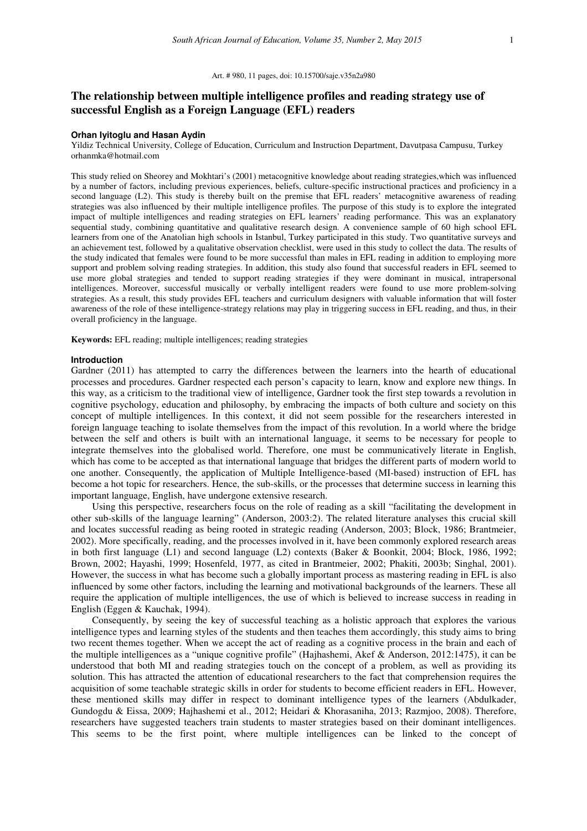#### Art. # 980, 11 pages, doi: 10.15700/saje.v35n2a980

# **The relationship between multiple intelligence profiles and reading strategy use of successful English as a Foreign Language (EFL) readers**

#### **Orhan Iyitoglu and Hasan Aydin**

Yildiz Technical University, College of Education, Curriculum and Instruction Department, Davutpasa Campusu, Turkey orhanmka@hotmail.com

This study relied on Sheorey and Mokhtari's (2001) metacognitive knowledge about reading strategies,which was influenced by a number of factors, including previous experiences, beliefs, culture-specific instructional practices and proficiency in a second language (L2). This study is thereby built on the premise that EFL readers' metacognitive awareness of reading strategies was also influenced by their multiple intelligence profiles. The purpose of this study is to explore the integrated impact of multiple intelligences and reading strategies on EFL learners' reading performance. This was an explanatory sequential study, combining quantitative and qualitative research design*.* A convenience sample of 60 high school EFL learners from one of the Anatolian high schools in Istanbul, Turkey participated in this study. Two quantitative surveys and an achievement test, followed by a qualitative observation checklist, were used in this study to collect the data. The results of the study indicated that females were found to be more successful than males in EFL reading in addition to employing more support and problem solving reading strategies. In addition, this study also found that successful readers in EFL seemed to use more global strategies and tended to support reading strategies if they were dominant in musical, intrapersonal intelligences. Moreover, successful musically or verbally intelligent readers were found to use more problem-solving strategies. As a result, this study provides EFL teachers and curriculum designers with valuable information that will foster awareness of the role of these intelligence-strategy relations may play in triggering success in EFL reading, and thus, in their overall proficiency in the language.

**Keywords:** EFL reading; multiple intelligences; reading strategies

#### **Introduction**

Gardner (2011) has attempted to carry the differences between the learners into the hearth of educational processes and procedures. Gardner respected each person's capacity to learn, know and explore new things. In this way, as a criticism to the traditional view of intelligence, Gardner took the first step towards a revolution in cognitive psychology, education and philosophy, by embracing the impacts of both culture and society on this concept of multiple intelligences. In this context, it did not seem possible for the researchers interested in foreign language teaching to isolate themselves from the impact of this revolution. In a world where the bridge between the self and others is built with an international language, it seems to be necessary for people to integrate themselves into the globalised world. Therefore, one must be communicatively literate in English, which has come to be accepted as that international language that bridges the different parts of modern world to one another. Consequently, the application of Multiple Intelligence-based (MI-based) instruction of EFL has become a hot topic for researchers. Hence, the sub-skills, or the processes that determine success in learning this important language, English, have undergone extensive research.

Using this perspective, researchers focus on the role of reading as a skill "facilitating the development in other sub-skills of the language learning" (Anderson, 2003:2). The related literature analyses this crucial skill and locates successful reading as being rooted in strategic reading (Anderson, 2003; Block, 1986; Brantmeier, 2002). More specifically, reading, and the processes involved in it, have been commonly explored research areas in both first language (L1) and second language (L2) contexts (Baker & Boonkit, 2004; Block, 1986, 1992; Brown, 2002; Hayashi, 1999; Hosenfeld, 1977, as cited in Brantmeier, 2002; Phakiti, 2003b; Singhal, 2001). However, the success in what has become such a globally important process as mastering reading in EFL is also influenced by some other factors, including the learning and motivational backgrounds of the learners. These all require the application of multiple intelligences, the use of which is believed to increase success in reading in English (Eggen & Kauchak, 1994).

Consequently, by seeing the key of successful teaching as a holistic approach that explores the various intelligence types and learning styles of the students and then teaches them accordingly, this study aims to bring two recent themes together. When we accept the act of reading as a cognitive process in the brain and each of the multiple intelligences as a "unique cognitive profile" (Hajhashemi, Akef & Anderson, 2012:1475), it can be understood that both MI and reading strategies touch on the concept of a problem, as well as providing its solution. This has attracted the attention of educational researchers to the fact that comprehension requires the acquisition of some teachable strategic skills in order for students to become efficient readers in EFL. However, these mentioned skills may differ in respect to dominant intelligence types of the learners (Abdulkader, Gundogdu & Eissa, 2009; Hajhashemi et al., 2012; Heidari & Khorasaniha, 2013; Razmjoo, 2008). Therefore, researchers have suggested teachers train students to master strategies based on their dominant intelligences. This seems to be the first point, where multiple intelligences can be linked to the concept of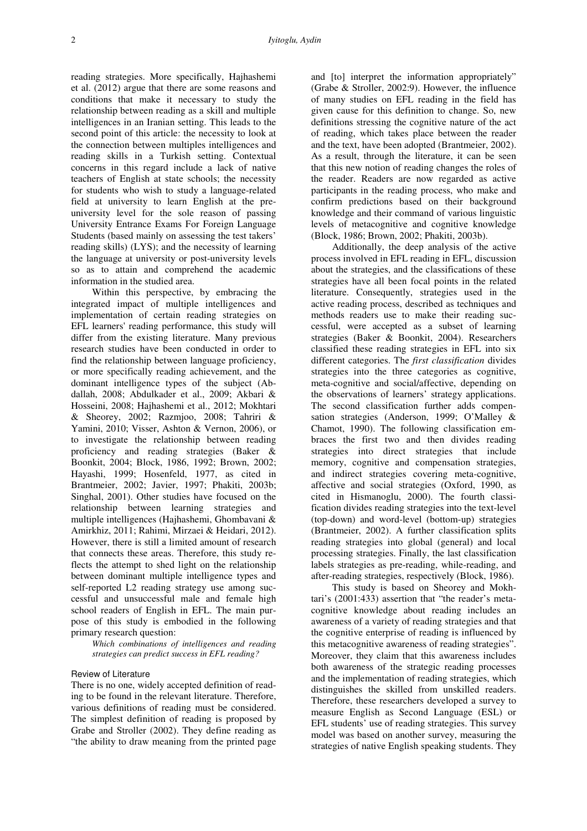reading strategies. More specifically, Hajhashemi et al. (2012) argue that there are some reasons and conditions that make it necessary to study the relationship between reading as a skill and multiple intelligences in an Iranian setting. This leads to the second point of this article: the necessity to look at the connection between multiples intelligences and reading skills in a Turkish setting. Contextual concerns in this regard include a lack of native teachers of English at state schools; the necessity for students who wish to study a language-related field at university to learn English at the preuniversity level for the sole reason of passing University Entrance Exams For Foreign Language Students (based mainly on assessing the test takers' reading skills) (LYS); and the necessity of learning the language at university or post-university levels so as to attain and comprehend the academic information in the studied area.

Within this perspective, by embracing the integrated impact of multiple intelligences and implementation of certain reading strategies on EFL learners' reading performance, this study will differ from the existing literature. Many previous research studies have been conducted in order to find the relationship between language proficiency, or more specifically reading achievement, and the dominant intelligence types of the subject (Abdallah, 2008; Abdulkader et al., 2009; Akbari & Hosseini, 2008; Hajhashemi et al., 2012; Mokhtari & Sheorey, 2002; Razmjoo, 2008; Tahriri & Yamini, 2010; Visser, Ashton & Vernon, 2006), or to investigate the relationship between reading proficiency and reading strategies (Baker & Boonkit, 2004; Block, 1986, 1992; Brown, 2002; Hayashi, 1999; Hosenfeld, 1977, as cited in Brantmeier, 2002; Javier, 1997; Phakiti, 2003b; Singhal, 2001). Other studies have focused on the relationship between learning strategies and multiple intelligences (Hajhashemi, Ghombavani & Amirkhiz, 2011; Rahimi, Mirzaei & Heidari, 2012). However, there is still a limited amount of research that connects these areas. Therefore, this study reflects the attempt to shed light on the relationship between dominant multiple intelligence types and self-reported L2 reading strategy use among successful and unsuccessful male and female high school readers of English in EFL. The main purpose of this study is embodied in the following primary research question:

> *Which combinations of intelligences and reading strategies can predict success in EFL reading?*

# Review of Literature

There is no one, widely accepted definition of reading to be found in the relevant literature. Therefore, various definitions of reading must be considered. The simplest definition of reading is proposed by Grabe and Stroller (2002). They define reading as "the ability to draw meaning from the printed page

and [to] interpret the information appropriately" (Grabe & Stroller, 2002:9). However, the influence of many studies on EFL reading in the field has given cause for this definition to change. So, new definitions stressing the cognitive nature of the act of reading, which takes place between the reader and the text, have been adopted (Brantmeier, 2002). As a result, through the literature, it can be seen that this new notion of reading changes the roles of the reader. Readers are now regarded as active participants in the reading process, who make and confirm predictions based on their background knowledge and their command of various linguistic levels of metacognitive and cognitive knowledge (Block, 1986; Brown, 2002; Phakiti, 2003b).

Additionally, the deep analysis of the active process involved in EFL reading in EFL, discussion about the strategies, and the classifications of these strategies have all been focal points in the related literature. Consequently, strategies used in the active reading process, described as techniques and methods readers use to make their reading successful, were accepted as a subset of learning strategies (Baker & Boonkit, 2004). Researchers classified these reading strategies in EFL into six different categories. The *first classification* divides strategies into the three categories as cognitive, meta-cognitive and social/affective, depending on the observations of learners' strategy applications. The second classification further adds compensation strategies (Anderson, 1999; O'Malley & Chamot, 1990). The following classification embraces the first two and then divides reading strategies into direct strategies that include memory, cognitive and compensation strategies, and indirect strategies covering meta-cognitive, affective and social strategies (Oxford, 1990, as cited in Hismanoglu, 2000). The fourth classification divides reading strategies into the text-level (top-down) and word-level (bottom-up) strategies (Brantmeier, 2002). A further classification splits reading strategies into global (general) and local processing strategies. Finally, the last classification labels strategies as pre-reading, while-reading, and after-reading strategies, respectively (Block, 1986).

This study is based on Sheorey and Mokhtari's (2001:433) assertion that "the reader's metacognitive knowledge about reading includes an awareness of a variety of reading strategies and that the cognitive enterprise of reading is influenced by this metacognitive awareness of reading strategies". Moreover, they claim that this awareness includes both awareness of the strategic reading processes and the implementation of reading strategies, which distinguishes the skilled from unskilled readers. Therefore, these researchers developed a survey to measure English as Second Language (ESL) or EFL students' use of reading strategies. This survey model was based on another survey, measuring the strategies of native English speaking students. They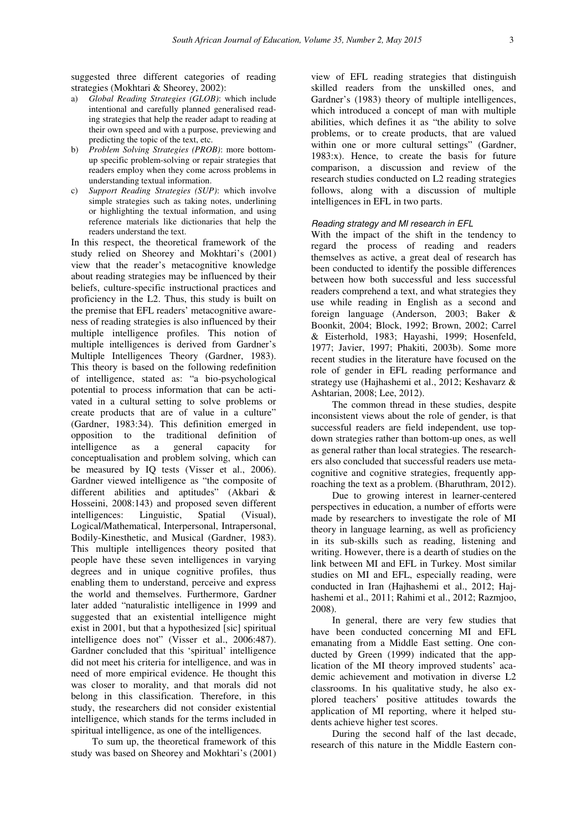suggested three different categories of reading strategies (Mokhtari & Sheorey, 2002):

- a) *Global Reading Strategies (GLOB)*: which include intentional and carefully planned generalised reading strategies that help the reader adapt to reading at their own speed and with a purpose, previewing and predicting the topic of the text, etc.
- b) *Problem Solving Strategies (PROB)*: more bottomup specific problem-solving or repair strategies that readers employ when they come across problems in understanding textual information.
- c) *Support Reading Strategies (SUP)*: which involve simple strategies such as taking notes, underlining or highlighting the textual information, and using reference materials like dictionaries that help the readers understand the text.

In this respect, the theoretical framework of the study relied on Sheorey and Mokhtari's (2001) view that the reader's metacognitive knowledge about reading strategies may be influenced by their beliefs, culture-specific instructional practices and proficiency in the L2. Thus, this study is built on the premise that EFL readers' metacognitive awareness of reading strategies is also influenced by their multiple intelligence profiles. This notion of multiple intelligences is derived from Gardner's Multiple Intelligences Theory (Gardner, 1983). This theory is based on the following redefinition of intelligence, stated as: "a bio-psychological potential to process information that can be activated in a cultural setting to solve problems or create products that are of value in a culture" (Gardner, 1983:34). This definition emerged in opposition to the traditional definition of intelligence as a general capacity for conceptualisation and problem solving, which can be measured by IQ tests (Visser et al., 2006). Gardner viewed intelligence as "the composite of different abilities and aptitudes" (Akbari & Hosseini, 2008:143) and proposed seven different intelligences: Linguistic, Spatial (Visual), Logical/Mathematical, Interpersonal, Intrapersonal, Bodily-Kinesthetic, and Musical (Gardner, 1983). This multiple intelligences theory posited that people have these seven intelligences in varying degrees and in unique cognitive profiles, thus enabling them to understand, perceive and express the world and themselves. Furthermore, Gardner later added "naturalistic intelligence in 1999 and suggested that an existential intelligence might exist in 2001, but that a hypothesized [sic] spiritual intelligence does not" (Visser et al., 2006:487). Gardner concluded that this 'spiritual' intelligence did not meet his criteria for intelligence, and was in need of more empirical evidence. He thought this was closer to morality, and that morals did not belong in this classification. Therefore, in this study, the researchers did not consider existential intelligence, which stands for the terms included in spiritual intelligence, as one of the intelligences.

To sum up, the theoretical framework of this study was based on Sheorey and Mokhtari's (2001) view of EFL reading strategies that distinguish skilled readers from the unskilled ones, and Gardner's (1983) theory of multiple intelligences, which introduced a concept of man with multiple abilities, which defines it as "the ability to solve problems, or to create products, that are valued within one or more cultural settings" (Gardner, 1983:x). Hence, to create the basis for future comparison, a discussion and review of the research studies conducted on L2 reading strategies follows, along with a discussion of multiple intelligences in EFL in two parts.

#### Reading strategy and MI research in EFL

With the impact of the shift in the tendency to regard the process of reading and readers themselves as active, a great deal of research has been conducted to identify the possible differences between how both successful and less successful readers comprehend a text, and what strategies they use while reading in English as a second and foreign language (Anderson, 2003; Baker & Boonkit, 2004; Block, 1992; Brown, 2002; Carrel & Eisterhold, 1983; Hayashi, 1999; Hosenfeld, 1977; Javier, 1997; Phakiti, 2003b). Some more recent studies in the literature have focused on the role of gender in EFL reading performance and strategy use (Hajhashemi et al., 2012; Keshavarz & Ashtarian, 2008; Lee, 2012).

The common thread in these studies, despite inconsistent views about the role of gender, is that successful readers are field independent, use topdown strategies rather than bottom-up ones, as well as general rather than local strategies. The researchers also concluded that successful readers use metacognitive and cognitive strategies, frequently approaching the text as a problem. (Bharuthram, 2012).

Due to growing interest in learner-centered perspectives in education, a number of efforts were made by researchers to investigate the role of MI theory in language learning, as well as proficiency in its sub-skills such as reading, listening and writing. However, there is a dearth of studies on the link between MI and EFL in Turkey. Most similar studies on MI and EFL, especially reading, were conducted in Iran (Hajhashemi et al., 2012; Hajhashemi et al., 2011; Rahimi et al., 2012; Razmjoo, 2008).

In general, there are very few studies that have been conducted concerning MI and EFL emanating from a Middle East setting. One conducted by Green (1999) indicated that the application of the MI theory improved students' academic achievement and motivation in diverse L2 classrooms. In his qualitative study, he also explored teachers' positive attitudes towards the application of MI reporting, where it helped students achieve higher test scores.

During the second half of the last decade, research of this nature in the Middle Eastern con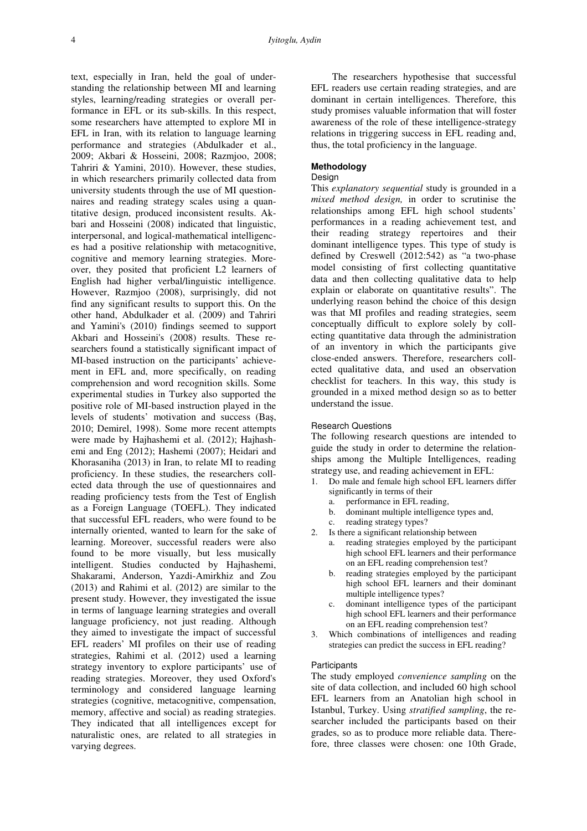text, especially in Iran, held the goal of understanding the relationship between MI and learning styles, learning/reading strategies or overall performance in EFL or its sub-skills. In this respect, some researchers have attempted to explore MI in EFL in Iran, with its relation to language learning performance and strategies (Abdulkader et al., 2009; Akbari & Hosseini, 2008; Razmjoo, 2008; Tahriri & Yamini, 2010). However, these studies, in which researchers primarily collected data from university students through the use of MI questionnaires and reading strategy scales using a quantitative design, produced inconsistent results. Akbari and Hosseini (2008) indicated that linguistic, interpersonal, and logical-mathematical intelligences had a positive relationship with metacognitive, cognitive and memory learning strategies. Moreover, they posited that proficient L2 learners of English had higher verbal/linguistic intelligence. However, Razmjoo (2008), surprisingly, did not find any significant results to support this. On the other hand, Abdulkader et al. (2009) and Tahriri and Yamini's (2010) findings seemed to support Akbari and Hosseini's (2008) results. These researchers found a statistically significant impact of MI-based instruction on the participants' achievement in EFL and, more specifically, on reading comprehension and word recognition skills. Some experimental studies in Turkey also supported the positive role of MI-based instruction played in the levels of students' motivation and success (Baş, 2010; Demirel, 1998). Some more recent attempts were made by Hajhashemi et al. (2012); Hajhashemi and Eng (2012); Hashemi (2007); Heidari and Khorasaniha (2013) in Iran, to relate MI to reading proficiency. In these studies, the researchers collected data through the use of questionnaires and reading proficiency tests from the Test of English as a Foreign Language (TOEFL). They indicated that successful EFL readers, who were found to be internally oriented, wanted to learn for the sake of learning. Moreover, successful readers were also found to be more visually, but less musically intelligent. Studies conducted by Hajhashemi, Shakarami, Anderson, Yazdi-Amirkhiz and Zou (2013) and Rahimi et al. (2012) are similar to the present study. However, they investigated the issue in terms of language learning strategies and overall language proficiency, not just reading. Although they aimed to investigate the impact of successful EFL readers' MI profiles on their use of reading strategies, Rahimi et al. (2012) used a learning strategy inventory to explore participants' use of reading strategies. Moreover, they used Oxford's terminology and considered language learning strategies (cognitive, metacognitive, compensation, memory, affective and social) as reading strategies. They indicated that all intelligences except for naturalistic ones, are related to all strategies in varying degrees.

The researchers hypothesise that successful EFL readers use certain reading strategies, and are dominant in certain intelligences. Therefore, this study promises valuable information that will foster awareness of the role of these intelligence-strategy relations in triggering success in EFL reading and, thus, the total proficiency in the language.

# **Methodology**

# Design

This *explanatory sequential* study is grounded in a *mixed method design,* in order to scrutinise the relationships among EFL high school students' performances in a reading achievement test, and their reading strategy repertoires and their dominant intelligence types. This type of study is defined by Creswell (2012:542) as "a two-phase model consisting of first collecting quantitative data and then collecting qualitative data to help explain or elaborate on quantitative results". The underlying reason behind the choice of this design was that MI profiles and reading strategies, seem conceptually difficult to explore solely by collecting quantitative data through the administration of an inventory in which the participants give close-ended answers. Therefore, researchers collected qualitative data, and used an observation checklist for teachers. In this way, this study is grounded in a mixed method design so as to better understand the issue.

#### Research Questions

The following research questions are intended to guide the study in order to determine the relationships among the Multiple Intelligences, reading strategy use, and reading achievement in EFL:

- 1. Do male and female high school EFL learners differ significantly in terms of their
	- a. performance in EFL reading,
	- b. dominant multiple intelligence types and,
	- c. reading strategy types?
- 2. Is there a significant relationship between
	- a. reading strategies employed by the participant high school EFL learners and their performance on an EFL reading comprehension test?
	- b. reading strategies employed by the participant high school EFL learners and their dominant multiple intelligence types?
	- c. dominant intelligence types of the participant high school EFL learners and their performance on an EFL reading comprehension test?
- 3. Which combinations of intelligences and reading strategies can predict the success in EFL reading?

## **Participants**

The study employed *convenience sampling* on the site of data collection, and included 60 high school EFL learners from an Anatolian high school in Istanbul, Turkey. Using *stratified sampling*, the researcher included the participants based on their grades, so as to produce more reliable data. Therefore, three classes were chosen: one 10th Grade,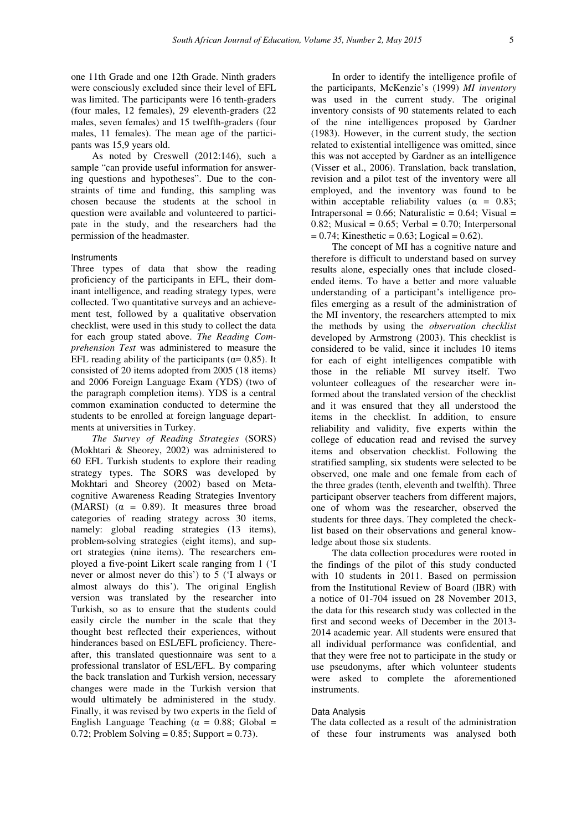one 11th Grade and one 12th Grade. Ninth graders were consciously excluded since their level of EFL was limited. The participants were 16 tenth-graders (four males, 12 females), 29 eleventh-graders (22 males, seven females) and 15 twelfth-graders (four males, 11 females). The mean age of the participants was 15,9 years old.

As noted by Creswell (2012:146), such a sample "can provide useful information for answering questions and hypotheses". Due to the constraints of time and funding, this sampling was chosen because the students at the school in question were available and volunteered to participate in the study, and the researchers had the permission of the headmaster.

#### **Instruments**

Three types of data that show the reading proficiency of the participants in EFL, their dominant intelligence, and reading strategy types, were collected. Two quantitative surveys and an achievement test, followed by a qualitative observation checklist, were used in this study to collect the data for each group stated above. *The Reading Comprehension Test* was administered to measure the EFL reading ability of the participants ( $\alpha$ = 0,85). It consisted of 20 items adopted from 2005 (18 items) and 2006 Foreign Language Exam (YDS) (two of the paragraph completion items). YDS is a central common examination conducted to determine the students to be enrolled at foreign language departments at universities in Turkey.

*The Survey of Reading Strategies* (SORS) (Mokhtari & Sheorey, 2002) was administered to 60 EFL Turkish students to explore their reading strategy types. The SORS was developed by Mokhtari and Sheorey (2002) based on Metacognitive Awareness Reading Strategies Inventory (MARSI) ( $\alpha = 0.89$ ). It measures three broad categories of reading strategy across 30 items, namely: global reading strategies (13 items), problem-solving strategies (eight items), and suport strategies (nine items). The researchers employed a five-point Likert scale ranging from 1 ('I never or almost never do this') to 5 ('I always or almost always do this'). The original English version was translated by the researcher into Turkish, so as to ensure that the students could easily circle the number in the scale that they thought best reflected their experiences, without hinderances based on ESL/EFL proficiency. Thereafter, this translated questionnaire was sent to a professional translator of ESL/EFL. By comparing the back translation and Turkish version, necessary changes were made in the Turkish version that would ultimately be administered in the study. Finally, it was revised by two experts in the field of English Language Teaching ( $\alpha = 0.88$ ; Global =  $0.72$ ; Problem Solving = 0.85; Support = 0.73).

In order to identify the intelligence profile of the participants, McKenzie's (1999) *MI inventory* was used in the current study. The original inventory consists of 90 statements related to each of the nine intelligences proposed by Gardner (1983). However, in the current study, the section related to existential intelligence was omitted, since this was not accepted by Gardner as an intelligence (Visser et al., 2006). Translation, back translation, revision and a pilot test of the inventory were all employed, and the inventory was found to be within acceptable reliability values ( $\alpha = 0.83$ ; Intrapersonal =  $0.66$ ; Naturalistic =  $0.64$ ; Visual =  $0.82$ ; Musical =  $0.65$ ; Verbal =  $0.70$ ; Interpersonal  $= 0.74$ ; Kinesthetic  $= 0.63$ ; Logical  $= 0.62$ ).

The concept of MI has a cognitive nature and therefore is difficult to understand based on survey results alone, especially ones that include closedended items. To have a better and more valuable understanding of a participant's intelligence profiles emerging as a result of the administration of the MI inventory, the researchers attempted to mix the methods by using the *observation checklist* developed by Armstrong (2003). This checklist is considered to be valid, since it includes 10 items for each of eight intelligences compatible with those in the reliable MI survey itself. Two volunteer colleagues of the researcher were informed about the translated version of the checklist and it was ensured that they all understood the items in the checklist. In addition, to ensure reliability and validity, five experts within the college of education read and revised the survey items and observation checklist. Following the stratified sampling, six students were selected to be observed, one male and one female from each of the three grades (tenth, eleventh and twelfth). Three participant observer teachers from different majors, one of whom was the researcher, observed the students for three days. They completed the checklist based on their observations and general knowledge about those six students.

The data collection procedures were rooted in the findings of the pilot of this study conducted with 10 students in 2011. Based on permission from the Institutional Review of Board (IBR) with a notice of 01-704 issued on 28 November 2013, the data for this research study was collected in the first and second weeks of December in the 2013- 2014 academic year. All students were ensured that all individual performance was confidential, and that they were free not to participate in the study or use pseudonyms, after which volunteer students were asked to complete the aforementioned instruments.

## Data Analysis

The data collected as a result of the administration of these four instruments was analysed both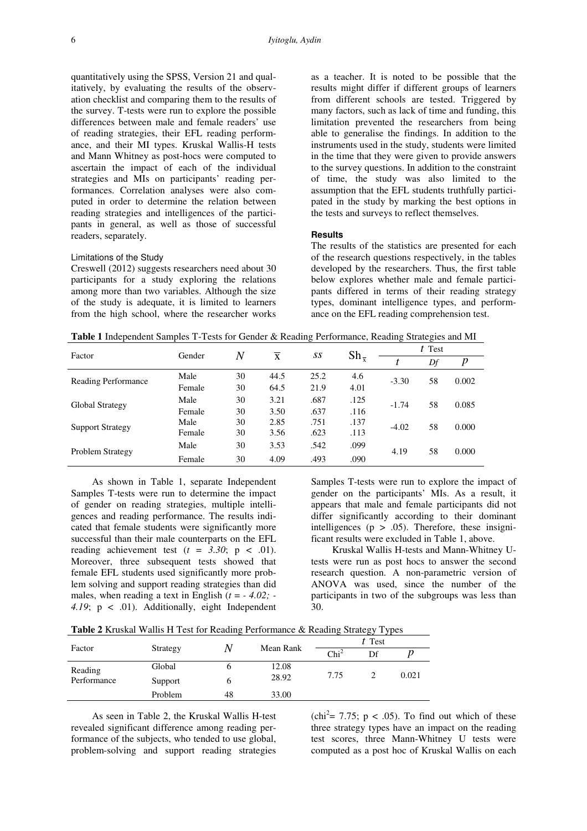quantitatively using the SPSS, Version 21 and qualitatively, by evaluating the results of the observation checklist and comparing them to the results of the survey. T-tests were run to explore the possible differences between male and female readers' use of reading strategies, their EFL reading performance, and their MI types. Kruskal Wallis-H tests and Mann Whitney as post-hocs were computed to ascertain the impact of each of the individual strategies and MIs on participants' reading performances. Correlation analyses were also computed in order to determine the relation between reading strategies and intelligences of the participants in general, as well as those of successful readers, separately.

# Limitations of the Study

Creswell (2012) suggests researchers need about 30 participants for a study exploring the relations among more than two variables. Although the size of the study is adequate, it is limited to learners from the high school, where the researcher works as a teacher. It is noted to be possible that the results might differ if different groups of learners from different schools are tested. Triggered by many factors, such as lack of time and funding, this limitation prevented the researchers from being able to generalise the findings. In addition to the instruments used in the study, students were limited in the time that they were given to provide answers to the survey questions. In addition to the constraint of time, the study was also limited to the assumption that the EFL students truthfully participated in the study by marking the best options in the tests and surveys to reflect themselves.

## **Results**

The results of the statistics are presented for each of the research questions respectively, in the tables developed by the researchers. Thus, the first table below explores whether male and female participants differed in terms of their reading strategy types, dominant intelligence types, and performance on the EFL reading comprehension test.

**Table 1** Independent Samples T-Tests for Gender & Reading Performance, Reading Strategies and MI

|                            |        | $\overline{N}$ | $\overline{\mathbf{x}}$ | SS   | $\rm{Sh}_{\overline{x}}$ | $t$ Test      |    |                  |
|----------------------------|--------|----------------|-------------------------|------|--------------------------|---------------|----|------------------|
| Factor                     | Gender |                |                         |      |                          | t             | Df | $\boldsymbol{p}$ |
| <b>Reading Performance</b> | Male   | 30             | 44.5                    | 25.2 | 4.6                      | 58<br>$-3.30$ |    | 0.002            |
|                            | Female | 30             | 64.5                    | 21.9 | 4.01                     |               |    |                  |
| Global Strategy            | Male   | 30             | 3.21                    | .687 | .125                     | $-1.74$       | 58 | 0.085            |
|                            | Female | 30             | 3.50                    | .637 | .116                     |               |    |                  |
| <b>Support Strategy</b>    | Male   | 30             | 2.85                    | .751 | .137                     | $-4.02$       | 58 | 0.000            |
|                            | Female | 30             | 3.56                    | .623 | .113                     |               |    |                  |
| Problem Strategy           | Male   | 30             | 3.53                    | .542 | .099                     | 4.19          | 58 | 0.000            |
|                            | Female | 30             | 4.09                    | .493 | .090                     |               |    |                  |

As shown in Table 1, separate Independent Samples T-tests were run to determine the impact of gender on reading strategies, multiple intelligences and reading performance. The results indicated that female students were significantly more successful than their male counterparts on the EFL reading achievement test  $(t = 3.30; p < .01)$ . Moreover, three subsequent tests showed that female EFL students used significantly more problem solving and support reading strategies than did males, when reading a text in English  $(t = -4.02)$ ; *4.19*; p < .01). Additionally, eight Independent

Samples T-tests were run to explore the impact of gender on the participants' MIs. As a result, it appears that male and female participants did not differ significantly according to their dominant intelligences ( $p > .05$ ). Therefore, these insignificant results were excluded in Table 1, above.

Kruskal Wallis H-tests and Mann-Whitney Utests were run as post hocs to answer the second research question. A non-parametric version of ANOVA was used, since the number of the participants in two of the subgroups was less than 30.

| Table 2 Kruskal Wallis H Test for Reading Performance & Reading Strategy Types |  |
|--------------------------------------------------------------------------------|--|
|                                                                                |  |

|             |          |    |           |                  | $t$ Test |       |
|-------------|----------|----|-----------|------------------|----------|-------|
| Factor      | Strategy | N  | Mean Rank | Chi <sup>2</sup> | Df       |       |
| Reading     | Global   |    | 12.08     |                  |          |       |
| Performance | Support  | O  | 28.92     | 7.75             |          | 0.021 |
|             | Problem  | 48 | 33.00     |                  |          |       |

As seen in Table 2, the Kruskal Wallis H-test revealed significant difference among reading performance of the subjects, who tended to use global, problem-solving and support reading strategies

 $\text{(chi}^2 = 7.75; \, \text{p} < .05)$ . To find out which of these three strategy types have an impact on the reading test scores, three Mann-Whitney U tests were computed as a post hoc of Kruskal Wallis on each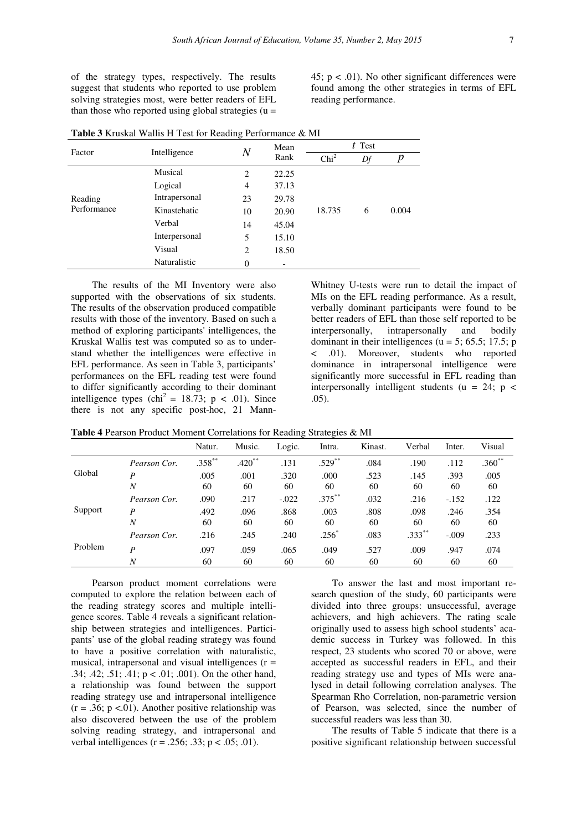of the strategy types, respectively. The results suggest that students who reported to use problem solving strategies most, were better readers of EFL than those who reported using global strategies  $(u =$  45;  $p < .01$ ). No other significant differences were found among the other strategies in terms of EFL reading performance.

| Factor      |               |                  | Mean                     | $t$ Test         |    |       |  |
|-------------|---------------|------------------|--------------------------|------------------|----|-------|--|
|             | Intelligence  | $\boldsymbol{N}$ | Rank                     | Chi <sup>2</sup> | Df |       |  |
|             | Musical       | $\overline{2}$   | 22.25                    |                  |    |       |  |
|             | Logical       | $\overline{4}$   | 37.13                    |                  |    |       |  |
| Reading     | Intrapersonal | 23               | 29.78                    |                  |    |       |  |
| Performance | Kinastehatic  | 10               | 20.90                    | 18.735           | 6  | 0.004 |  |
|             | Verbal        | 14               | 45.04                    |                  |    |       |  |
|             | Interpersonal | 5                | 15.10                    |                  |    |       |  |
|             | Visual        | $\overline{c}$   | 18.50                    |                  |    |       |  |
|             | Naturalistic  | $\theta$         | $\overline{\phantom{a}}$ |                  |    |       |  |

| Table 3 Kruskal Wallis H Test for Reading Performance & MI |
|------------------------------------------------------------|
|------------------------------------------------------------|

The results of the MI Inventory were also supported with the observations of six students. The results of the observation produced compatible results with those of the inventory. Based on such a method of exploring participants' intelligences, the Kruskal Wallis test was computed so as to understand whether the intelligences were effective in EFL performance. As seen in Table 3, participants' performances on the EFL reading test were found to differ significantly according to their dominant intelligence types (chi<sup>2</sup> = 18.73; p < .01). Since there is not any specific post-hoc, 21 Mann-

Whitney U-tests were run to detail the impact of MIs on the EFL reading performance. As a result, verbally dominant participants were found to be better readers of EFL than those self reported to be interpersonally, intrapersonally and bodily dominant in their intelligences (u = 5; 65.5; 17.5;  $p$ ) < .01). Moreover, students who reported dominance in intrapersonal intelligence were significantly more successful in EFL reading than interpersonally intelligent students ( $u = 24$ ;  $p <$ .05).

**Table 4** Pearson Product Moment Correlations for Reading Strategies & MI

|         |                  | Natur.      | Music.   | Logic.  | Intra.      | Kinast. | Verbal    | Inter.  | Visual   |
|---------|------------------|-------------|----------|---------|-------------|---------|-----------|---------|----------|
| Global  | Pearson Cor.     | $.358^{**}$ | $.420**$ | .131    | $.529^{**}$ | .084    | .190      | .112    | $.360**$ |
|         | P                | .005        | .001     | .320    | .000        | .523    | .145      | .393    | .005     |
|         | $\boldsymbol{N}$ | 60          | 60       | 60      | 60          | 60      | 60        | 60      | 60       |
|         | Pearson Cor.     | .090        | .217     | $-.022$ | $.375***$   | .032    | .216      | $-152$  | .122     |
| Support | P                | .492        | .096     | .868    | .003        | .808    | .098      | .246    | .354     |
|         | $\boldsymbol{N}$ | 60          | 60       | 60      | 60          | 60      | 60        | 60      | 60       |
| Problem | Pearson Cor.     | .216        | .245     | .240    | $.256*$     | .083    | $.333***$ | $-.009$ | .233     |
|         | P                | .097        | .059     | .065    | .049        | .527    | .009      | .947    | .074     |
|         | N                | 60          | 60       | 60      | 60          | 60      | 60        | 60      | 60       |

Pearson product moment correlations were computed to explore the relation between each of the reading strategy scores and multiple intelligence scores. Table 4 reveals a significant relationship between strategies and intelligences. Participants' use of the global reading strategy was found to have a positive correlation with naturalistic, musical, intrapersonal and visual intelligences  $(r =$ .34; .42; .51; .41; p < .01; .001). On the other hand, a relationship was found between the support reading strategy use and intrapersonal intelligence  $(r = .36; p < .01)$ . Another positive relationship was also discovered between the use of the problem solving reading strategy, and intrapersonal and verbal intelligences ( $r = .256$ ;  $.33$ ;  $p < .05$ ;  $.01$ ).

To answer the last and most important research question of the study, 60 participants were divided into three groups: unsuccessful, average achievers, and high achievers. The rating scale originally used to assess high school students' academic success in Turkey was followed. In this respect, 23 students who scored 70 or above, were accepted as successful readers in EFL, and their reading strategy use and types of MIs were analysed in detail following correlation analyses. The Spearman Rho Correlation, non-parametric version of Pearson, was selected, since the number of successful readers was less than 30.

The results of Table 5 indicate that there is a positive significant relationship between successful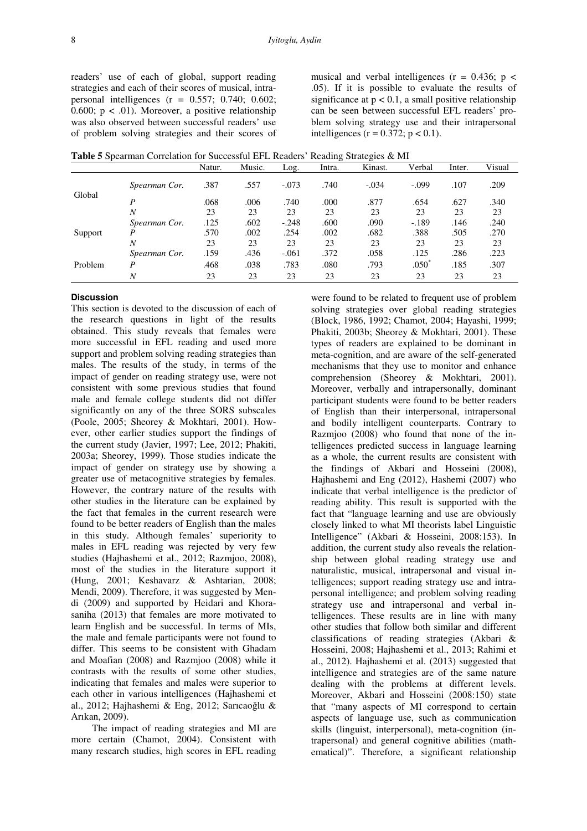readers' use of each of global, support reading strategies and each of their scores of musical, intrapersonal intelligences  $(r = 0.557; 0.740; 0.602;$ 0.600;  $p < .01$ ). Moreover, a positive relationship was also observed between successful readers' use of problem solving strategies and their scores of musical and verbal intelligences ( $r = 0.436$ ;  $p <$ .05). If it is possible to evaluate the results of significance at  $p < 0.1$ , a small positive relationship can be seen between successful EFL readers' problem solving strategy use and their intrapersonal intelligences ( $r = 0.372$ ;  $p < 0.1$ ).

| Table 5 Spearman Correlation for Successful EFL Readers' Reading Strategies & MI |
|----------------------------------------------------------------------------------|
|----------------------------------------------------------------------------------|

|         |               | Natur. | Music. | Log.    | Intra. | Kinast. | Verbal            | Inter. | Visual |
|---------|---------------|--------|--------|---------|--------|---------|-------------------|--------|--------|
|         | Spearman Cor. | .387   | .557   | $-.073$ | .740   | $-.034$ | $-.099$           | .107   | .209   |
| Global  | P             | .068   | .006   | .740    | .000   | .877    | .654              | .627   | .340   |
|         | N             | 23     | 23     | 23      | 23     | 23      | 23                | 23     | 23     |
|         | Spearman Cor. | .125   | .602   | $-.248$ | .600   | .090    | $-.189$           | .146   | .240   |
| Support | P             | .570   | .002   | .254    | .002   | .682    | .388              | .505   | .270   |
|         | N             | 23     | 23     | 23      | 23     | 23      | 23                | 23     | 23     |
|         | Spearman Cor. | .159   | .436   | $-.061$ | .372   | .058    | .125              | .286   | .223   |
| Problem | P             | .468   | .038   | .783    | .080   | .793    | .050 <sup>°</sup> | .185   | .307   |
|         | N             | 23     | 23     | 23      | 23     | 23      | 23                | 23     | 23     |

# **Discussion**

This section is devoted to the discussion of each of the research questions in light of the results obtained. This study reveals that females were more successful in EFL reading and used more support and problem solving reading strategies than males. The results of the study, in terms of the impact of gender on reading strategy use, were not consistent with some previous studies that found male and female college students did not differ significantly on any of the three SORS subscales (Poole, 2005; Sheorey & Mokhtari, 2001). However, other earlier studies support the findings of the current study (Javier, 1997; Lee, 2012; Phakiti, 2003a; Sheorey, 1999). Those studies indicate the impact of gender on strategy use by showing a greater use of metacognitive strategies by females. However, the contrary nature of the results with other studies in the literature can be explained by the fact that females in the current research were found to be better readers of English than the males in this study. Although females' superiority to males in EFL reading was rejected by very few studies (Hajhashemi et al., 2012; Razmjoo, 2008), most of the studies in the literature support it (Hung, 2001; Keshavarz & Ashtarian, 2008; Mendi, 2009). Therefore, it was suggested by Mendi (2009) and supported by Heidari and Khorasaniha (2013) that females are more motivated to learn English and be successful. In terms of MIs, the male and female participants were not found to differ. This seems to be consistent with Ghadam and Moafian (2008) and Razmjoo (2008) while it contrasts with the results of some other studies, indicating that females and males were superior to each other in various intelligences (Hajhashemi et al., 2012; Hajhashemi & Eng, 2012; Sarıcaoğlu & Arıkan, 2009).

The impact of reading strategies and MI are more certain (Chamot, 2004). Consistent with many research studies, high scores in EFL reading

were found to be related to frequent use of problem solving strategies over global reading strategies (Block, 1986, 1992; Chamot, 2004; Hayashi, 1999; Phakiti, 2003b; Sheorey & Mokhtari, 2001). These types of readers are explained to be dominant in meta-cognition, and are aware of the self-generated mechanisms that they use to monitor and enhance comprehension (Sheorey & Mokhtari, 2001). Moreover, verbally and intrapersonally, dominant participant students were found to be better readers of English than their interpersonal, intrapersonal and bodily intelligent counterparts. Contrary to Razmjoo (2008) who found that none of the intelligences predicted success in language learning as a whole, the current results are consistent with the findings of Akbari and Hosseini (2008), Hajhashemi and Eng (2012), Hashemi (2007) who indicate that verbal intelligence is the predictor of reading ability. This result is supported with the fact that "language learning and use are obviously closely linked to what MI theorists label Linguistic Intelligence" (Akbari & Hosseini, 2008:153). In addition, the current study also reveals the relationship between global reading strategy use and naturalistic, musical, intrapersonal and visual intelligences; support reading strategy use and intrapersonal intelligence; and problem solving reading strategy use and intrapersonal and verbal intelligences. These results are in line with many other studies that follow both similar and different classifications of reading strategies (Akbari & Hosseini, 2008; Hajhashemi et al., 2013; Rahimi et al., 2012). Hajhashemi et al. (2013) suggested that intelligence and strategies are of the same nature dealing with the problems at different levels. Moreover, Akbari and Hosseini (2008:150) state that "many aspects of MI correspond to certain aspects of language use, such as communication skills (linguist, interpersonal), meta-cognition (intrapersonal) and general cognitive abilities (mathematical)". Therefore, a significant relationship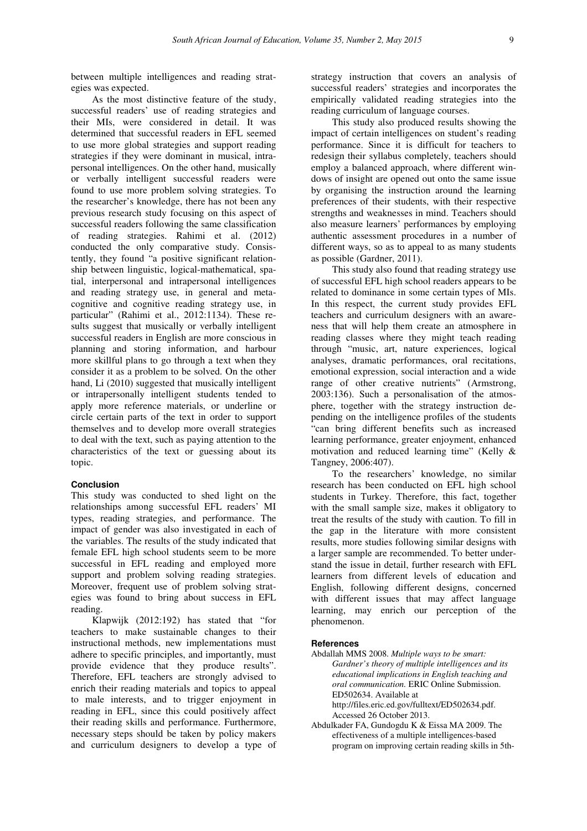between multiple intelligences and reading strategies was expected.

As the most distinctive feature of the study, successful readers' use of reading strategies and their MIs, were considered in detail. It was determined that successful readers in EFL seemed to use more global strategies and support reading strategies if they were dominant in musical, intrapersonal intelligences. On the other hand, musically or verbally intelligent successful readers were found to use more problem solving strategies. To the researcher's knowledge, there has not been any previous research study focusing on this aspect of successful readers following the same classification of reading strategies. Rahimi et al. (2012) conducted the only comparative study. Consistently, they found "a positive significant relationship between linguistic, logical-mathematical, spatial, interpersonal and intrapersonal intelligences and reading strategy use, in general and metacognitive and cognitive reading strategy use, in particular" (Rahimi et al., 2012:1134). These results suggest that musically or verbally intelligent successful readers in English are more conscious in planning and storing information, and harbour more skillful plans to go through a text when they consider it as a problem to be solved. On the other hand, Li (2010) suggested that musically intelligent or intrapersonally intelligent students tended to apply more reference materials, or underline or circle certain parts of the text in order to support themselves and to develop more overall strategies to deal with the text, such as paying attention to the characteristics of the text or guessing about its topic.

## **Conclusion**

This study was conducted to shed light on the relationships among successful EFL readers' MI types, reading strategies, and performance. The impact of gender was also investigated in each of the variables. The results of the study indicated that female EFL high school students seem to be more successful in EFL reading and employed more support and problem solving reading strategies. Moreover, frequent use of problem solving strategies was found to bring about success in EFL reading.

Klapwijk (2012:192) has stated that "for teachers to make sustainable changes to their instructional methods, new implementations must adhere to specific principles, and importantly, must provide evidence that they produce results". Therefore, EFL teachers are strongly advised to enrich their reading materials and topics to appeal to male interests, and to trigger enjoyment in reading in EFL, since this could positively affect their reading skills and performance. Furthermore, necessary steps should be taken by policy makers and curriculum designers to develop a type of

strategy instruction that covers an analysis of successful readers' strategies and incorporates the empirically validated reading strategies into the reading curriculum of language courses.

This study also produced results showing the impact of certain intelligences on student's reading performance. Since it is difficult for teachers to redesign their syllabus completely, teachers should employ a balanced approach, where different windows of insight are opened out onto the same issue by organising the instruction around the learning preferences of their students, with their respective strengths and weaknesses in mind. Teachers should also measure learners' performances by employing authentic assessment procedures in a number of different ways, so as to appeal to as many students as possible (Gardner, 2011).

This study also found that reading strategy use of successful EFL high school readers appears to be related to dominance in some certain types of MIs. In this respect, the current study provides EFL teachers and curriculum designers with an awareness that will help them create an atmosphere in reading classes where they might teach reading through "music, art, nature experiences, logical analyses, dramatic performances, oral recitations, emotional expression, social interaction and a wide range of other creative nutrients" (Armstrong, 2003:136). Such a personalisation of the atmosphere, together with the strategy instruction depending on the intelligence profiles of the students "can bring different benefits such as increased learning performance, greater enjoyment, enhanced motivation and reduced learning time" (Kelly & Tangney, 2006:407).

To the researchers' knowledge, no similar research has been conducted on EFL high school students in Turkey. Therefore, this fact, together with the small sample size, makes it obligatory to treat the results of the study with caution. To fill in the gap in the literature with more consistent results, more studies following similar designs with a larger sample are recommended. To better understand the issue in detail, further research with EFL learners from different levels of education and English, following different designs, concerned with different issues that may affect language learning, may enrich our perception of the phenomenon.

## **References**

- Abdallah MMS 2008. *Multiple ways to be smart: Gardner's theory of multiple intelligences and its educational implications in English teaching and oral communication.* ERIC Online Submission. ED502634. Available at http://files.eric.ed.gov/fulltext/ED502634.pdf. Accessed 26 October 2013.
- Abdulkader FA, Gundogdu K & Eissa MA 2009. The effectiveness of a multiple intelligences-based program on improving certain reading skills in 5th-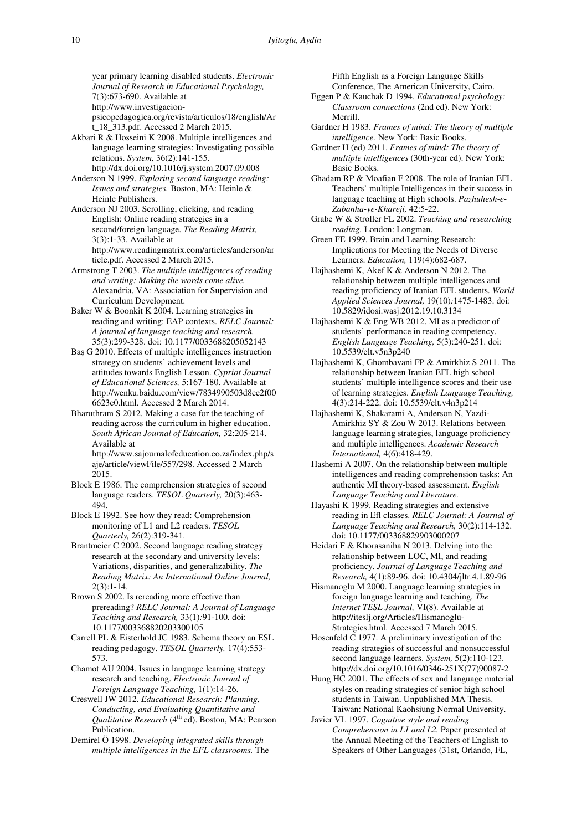year primary learning disabled students. *Electronic Journal of Research in Educational Psychology,*  7(3):673-690. Available at http://www.investigacionpsicopedagogica.org/revista/articulos/18/english/Ar t\_18\_313.pdf. Accessed 2 March 2015.

- Akbari R & Hosseini K 2008. Multiple intelligences and language learning strategies: Investigating possible relations. *System,* 36(2):141-155. http://dx.doi.org/10.1016/j.system.2007.09.008
- Anderson N 1999. *Exploring second language reading: Issues and strategies.* Boston, MA: Heinle & Heinle Publishers.
- Anderson NJ 2003. Scrolling, clicking, and reading English: Online reading strategies in a second/foreign language. *The Reading Matrix,*  3(3):1-33. Available at http://www.readingmatrix.com/articles/anderson/ar
- ticle.pdf. Accessed 2 March 2015. Armstrong T 2003. *The multiple intelligences of reading and writing: Making the words come alive.*
- Alexandria, VA: Association for Supervision and Curriculum Development.
- Baker W & Boonkit K 2004. Learning strategies in reading and writing: EAP contexts. *RELC Journal: A journal of language teaching and research,*  35(3):299-328. doi: 10.1177/0033688205052143
- Baş G 2010. Effects of multiple intelligences instruction strategy on students' achievement levels and attitudes towards English Lesson. *Cypriot Journal of Educational Sciences,* 5:167-180. Available at http://wenku.baidu.com/view/7834990503d8ce2f00 6623c0.html. Accessed 2 March 2014.
- Bharuthram S 2012. Making a case for the teaching of reading across the curriculum in higher education. *South African Journal of Education,* 32:205-214. Available at http://www.sajournalofeducation.co.za/index.php/s
	- aje/article/viewFile/557/298. Accessed 2 March 2015.
- Block E 1986. The comprehension strategies of second language readers. *TESOL Quarterly,* 20(3):463- 494.
- Block E 1992. See how they read: Comprehension monitoring of L1 and L2 readers. *TESOL Quarterly,* 26(2):319*-*341.
- Brantmeier C 2002. Second language reading strategy research at the secondary and university levels: Variations, disparities, and generalizability. *The Reading Matrix: An International Online Journal,*  2(3):1-14.
- Brown S 2002. Is rereading more effective than prereading? *RELC Journal: A Journal of Language Teaching and Research,* 33(1)*:*91-100*.* doi: 10.1177/003368820203300105
- Carrell PL & Eisterhold JC 1983. Schema theory an ESL reading pedagogy. *TESOL Quarterly,* 17(4):553- 573.
- Chamot AU 2004. Issues in language learning strategy research and teaching. *Electronic Journal of Foreign Language Teaching,* 1(1):14-26.
- Creswell JW 2012. *Educational Research: Planning, Conducting, and Evaluating Quantitative and Qualitative Research* (4<sup>th</sup> ed). Boston, MA: Pearson Publication.
- Demirel Ö 1998. *Developing integrated skills through multiple intelligences in the EFL classrooms.* The

Fifth English as a Foreign Language Skills

- Conference, The American University, Cairo. Eggen P & Kauchak D 1994. *Educational psychology: Classroom connections* (2nd ed). New York: Merrill.
- Gardner H 1983. *Frames of mind: The theory of multiple intelligence.* New York: Basic Books.
- Gardner H (ed) 2011. *Frames of mind: The theory of multiple intelligences* (30th-year ed). New York: Basic Books.
- Ghadam RP & Moafian F 2008. The role of Iranian EFL Teachers' multiple Intelligences in their success in language teaching at High schools. *Pazhuhesh-e-Zabanha-ye-Khareji,* 42:5-22.
- Grabe W & Stroller FL 2002. *Teaching and researching reading.* London: Longman.
- Green FE 1999. Brain and Learning Research: Implications for Meeting the Needs of Diverse Learners. *Education,* 119(4):682-687.
- Hajhashemi K, Akef K & Anderson N 2012. The relationship between multiple intelligences and reading proficiency of Iranian EFL students. *World Applied Sciences Journal,* 19(10)*:*1475-1483. doi: 10.5829/idosi.wasj.2012.19.10.3134
- Hajhashemi K & Eng WB 2012. MI as a predictor of students' performance in reading competency. *English Language Teaching,* 5(3):240-251. doi: 10.5539/elt.v5n3p240
- Hajhashemi K, Ghombavani FP & Amirkhiz S 2011. The relationship between Iranian EFL high school students' multiple intelligence scores and their use of learning strategies. *English Language Teaching,* 4(3):214-222. doi: 10.5539/elt.v4n3p214
- Hajhashemi K, Shakarami A, Anderson N, Yazdi-Amirkhiz SY & Zou W 2013. Relations between language learning strategies, language proficiency and multiple intelligences. *Academic Research International,* 4(6):418-429.
- Hashemi A 2007. On the relationship between multiple intelligences and reading comprehension tasks: An authentic MI theory-based assessment. *English Language Teaching and Literature.*
- Hayashi K 1999. Reading strategies and extensive reading in Efl classes. *RELC Journal: A Journal of Language Teaching and Research,* 30(2):114-132. doi: 10.1177/003368829903000207
- Heidari F & Khorasaniha N 2013. Delving into the relationship between LOC, MI, and reading proficiency. *Journal of Language Teaching and Research,* 4(1):89-96. doi: 10.4304/jltr.4.1.89-96
- Hismanoglu M 2000. Language learning strategies in foreign language learning and teaching. *The Internet TESL Journal,* VI(8). Available at http://iteslj.org/Articles/Hismanoglu-Strategies.html. Accessed 7 March 2015.
- Hosenfeld C 1977. A preliminary investigation of the reading strategies of successful and nonsuccessful second language learners. *System,* 5(2):110-123. http://dx.doi.org/10.1016/0346-251X(77)90087-2
- Hung HC 2001. The effects of sex and language material styles on reading strategies of senior high school students in Taiwan. Unpublished MA Thesis. Taiwan: National Kaohsiung Normal University.
- Javier VL 1997. *Cognitive style and reading Comprehension in L1 and L2.* Paper presented at the Annual Meeting of the Teachers of English to Speakers of Other Languages (31st, Orlando, FL,